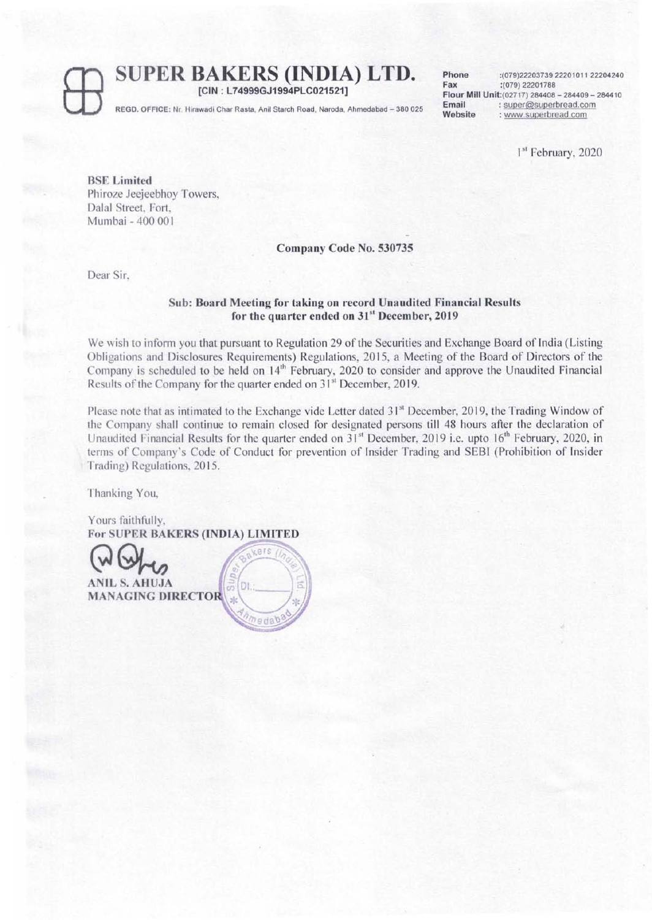# **SUPER BAKERS (INDIA) LTD.**

[CIN ; L74999GJ1994PLC021521] REGD. OFFICE: Nr. Hirawadi Char Rasta, Anil Starch Road, Naroda, Ahmedabad - 380 025 Phone :(079)22203739 22201011 22204240<br>Fax :(079) 22201788 FaX:(079) 22201768 Flour Mill Unit:(02717) 284406 - 264409 - 2844 10 Email: super@superbread.com Website : www.superbread.com

1 51 February, 2020

BSE Limited Phiroze Jeejeebhoy Towers, Dalal Street, Fort, Mumbai - 400 00 I

Company Code No. 530735

Dear Sir,

#### Sub: Board Meeting for taking on record Unaudited Financial Results for the quarter ended on 31<sup>st</sup> December, 2019

We wish to inform you that pursuant to Regulation 29 of the Securities and Exchange Board of India (Listing Obligations and Disclosures Requirements) Regulations, 2015, a Meeting of the Board of Directors of the Company is scheduled to be held on 14<sup>th</sup> February, 2020 to consider and approve the Unaudited Financial Results of the Company for the quarter ended on  $31<sup>st</sup>$  December, 2019.

Please note that as intimated to the Exchange vide Letter dated 31<sup>st</sup> December, 2019, the Trading Window of the Company shall continue to remain closed for designated persons till 48 hours after the declaration of Unaudited Financial Results for the quarter ended on 31<sup>st</sup> December, 2019 i.e. upto 16<sup>th</sup> February, 2020, in terms of Company's Code of Conduct for prevention of Insider Trading and SEBI (Prohibition of Insider Trading) Regulations, 2015.

Thanking You,

Yours faithfully. For SUPER BAKERS (INDIA) LIMITED

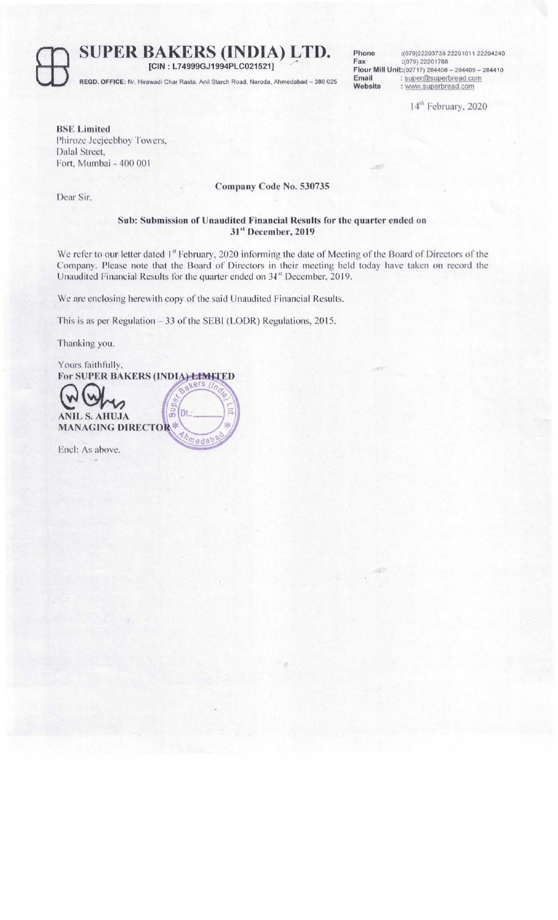**SUPER BAKERS (INDIA) LTD.** [CIN : L74999GJ1994PLC021521]

REGD. OFFICE: Nr. Hirawadi Char Rasta, Anil Starch Road, Naroda, Ahmedabad - 380 025

Phone :(079)22203739 22201011 22204240<br>Fax :(079) 22201788 Fax:(079) 22201788 Flour Mill Unit:(02717) 284408 - 284409 - 284410 Email: super@superbread.com<br>Website: www.superbread.com : www.superbread.com

14<sup>th</sup> February, 2020

BSE Limited Phiroze Jeejeebhoy Towers, Dalal Street, Fort, Mumbai - 400 00 I

## Company Code No. 530735

Dear Sir,

## Sub: Submission of Unaudited Financial Results for the quarter ended on 31st December, 2019

We refer to our letter dated 1st February, 2020 informing the date of Meeting of the Board of Directors of the Company. Please note that the Board of Directors in their meeting held today have taken on record the Unaudited Financial Results for the quarter ended on 31<sup>st</sup> December, 2019.

We are enclosing herewith copy of the said Unaudited Financial Results.

This is as per Regulation - 33 of the SEBI (LODR) Regulations, 2015.

Thanking you.

Yours faithfully, For SUPER BAKERS (INDIA) LIMITED  $900$ Dt ANIL S. AHUJA MANAGING DIRECTOR 垛 medab Encl: As above.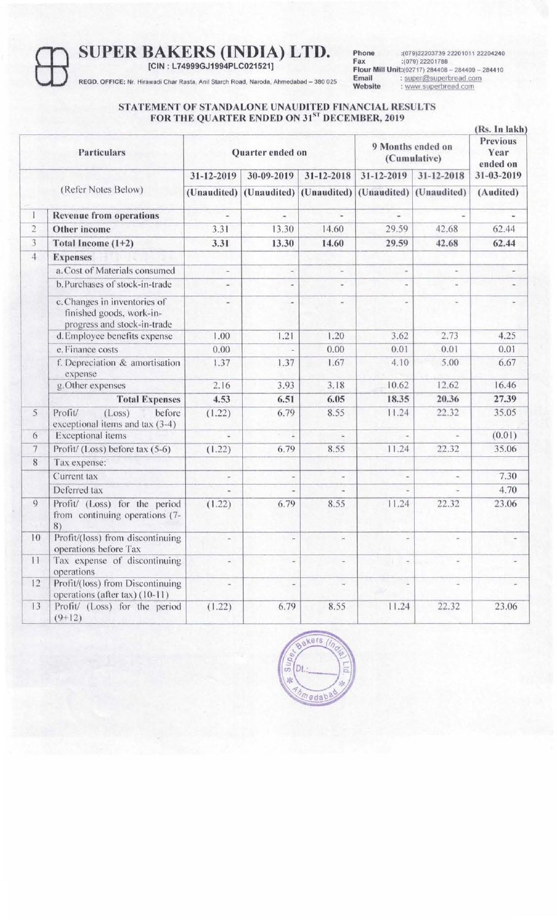**SUPER BAKERS (INDIA) LTD.**<br> **EGD. OFFICE:** Nr. Hirawadi Char Rasta, Anii Starch Road, Naroda, Ahmedabad – 380 02

**[CIN : L74999GJ1994PLC021521]** 

**Phone** :(079)22203739 22201011 22204240 **FaX :(079)** 22201788 **Flour Mill** Unit:(02717) 284408 - 284409 - 284410 **Email :** super@superbread.com **Website** : www superbread,com

REGO. OFFICE: Nr. Hirawadi Char Rasta, Anil Starch Road, Naroda, Ahmedabad - 380 025

#### **STATEMENT OF STANDALONE UNAUDITED FINANCIAL RESULTS FOR THE QUARTER ENDED ON 31 ST DECEMBER, 201 9**

| <b>Particulars</b> |                                                                                         | Quarter ended on         |                                     |                          | 9 Months ended on<br>(Cumulative) |                          | (Rs. In lakh)<br><b>Previous</b><br>Year<br>ended on |
|--------------------|-----------------------------------------------------------------------------------------|--------------------------|-------------------------------------|--------------------------|-----------------------------------|--------------------------|------------------------------------------------------|
|                    |                                                                                         | 31-12-2019               | 30-09-2019                          | 31-12-2018               | 31-12-2019                        | 31-12-2018               | 31-03-2019                                           |
|                    | (Refer Notes Below)                                                                     |                          | (Unaudited) (Unaudited) (Unaudited) |                          |                                   | (Unaudited) (Unaudited)  | (Audited)                                            |
| Τ                  | <b>Revenue from operations</b>                                                          |                          | $\overline{\phantom{a}}$            | ш                        |                                   |                          |                                                      |
| $\overline{c}$     | Other income                                                                            | 3.31                     | 13.30                               | 14.60                    | 29.59                             | 42.68                    | 62.44                                                |
| 3                  | Total Income (1+2)                                                                      | 3.31                     | 13.30                               | 14.60                    | 29.59                             | 42.68                    | 62.44                                                |
| $\overline{4}$     | <b>Expenses</b>                                                                         |                          |                                     |                          |                                   |                          |                                                      |
|                    | a. Cost of Materials consumed                                                           | $\sim$                   | $\equiv$                            | $\equiv$                 |                                   | $\overline{\phantom{a}}$ |                                                      |
|                    | b. Purchases of stock-in-trade                                                          | e.                       | ×.                                  | $\sim$                   |                                   | $\,$                     | $\overline{\phantom{a}}$                             |
|                    | c. Changes in inventories of<br>finished goods, work-in-<br>progress and stock-in-trade |                          |                                     |                          |                                   |                          |                                                      |
|                    | d. Employee benefits expense                                                            | 1.00                     | 1.21                                | 1.20                     | 3.62                              | 2.73                     | 4.25                                                 |
|                    | e. Finance costs                                                                        | 0.00                     | $\omega$                            | 0.00                     | 0.01                              | 0.01                     | 0.01                                                 |
|                    | f. Depreciation & amortisation<br>expense                                               | 1.37                     | 1.37                                | 1.67                     | 4.10                              | 5.00                     | 6.67                                                 |
|                    | g. Other expenses                                                                       | 2.16                     | 3.93                                | 3.18                     | 10.62                             | 12.62                    | 16.46                                                |
|                    | <b>Total Expenses</b>                                                                   | 4.53                     | 6.51                                | 6.05                     | 18.35                             | 20.36                    | 27.39                                                |
| 5                  | (Loss)<br>before<br>Profit/<br>exceptional items and tax (3-4)                          | (1.22)                   | 6.79                                | 8.55                     | 11.24                             | 22.32                    | 35.05                                                |
| 6                  | <b>Exceptional</b> items                                                                |                          | o,<br>2                             |                          |                                   | $\omega$                 | (0.01)                                               |
| $\overline{7}$     | Profit/ (Loss) before tax (5-6)                                                         | (1.22)                   | 6.79                                | 8.55                     | 11.24                             | 22.32                    | 35.06                                                |
| $\,$ 8 $\,$        | Tax expense:                                                                            |                          |                                     |                          |                                   |                          |                                                      |
|                    | Current tax                                                                             | $\overline{\phantom{a}}$ | $\overline{\phantom{a}}$            | $\overline{\phantom{a}}$ |                                   | $\overline{\phantom{a}}$ | 7.30                                                 |
|                    | Deferred tax                                                                            |                          | $\sim$                              |                          | $\overline{a}$                    |                          | 4.70                                                 |
| 9                  | Profit/ (Loss) for the period<br>from continuing operations (7-<br>8)                   | (1.22)                   | 6.79                                | 8.55                     | 11.24                             | 22.32                    | 23.06                                                |
| 10                 | Profit/(loss) from discontinuing<br>operations before Tax                               |                          |                                     |                          |                                   |                          |                                                      |
| 11                 | Tax expense of discontinuing<br>operations                                              |                          | $\overline{\phantom{a}}$            | $\overline{\phantom{a}}$ | $\sim$ 10 $\pm$                   | (Veril)                  |                                                      |
| 12                 | Profit/(loss) from Discontinuing<br>operations (after tax) (10-11)                      | $\dot{=}$                | $\sim$                              | $\sim$                   | $\overline{\phantom{a}}$          | $\overline{a}$           |                                                      |
| 13                 | Profit/ (Loss) for the period<br>$(9+12)$                                               | (1.22)                   | 6.79                                | 8.55                     | 11.24                             | 22.32                    | 23.06                                                |

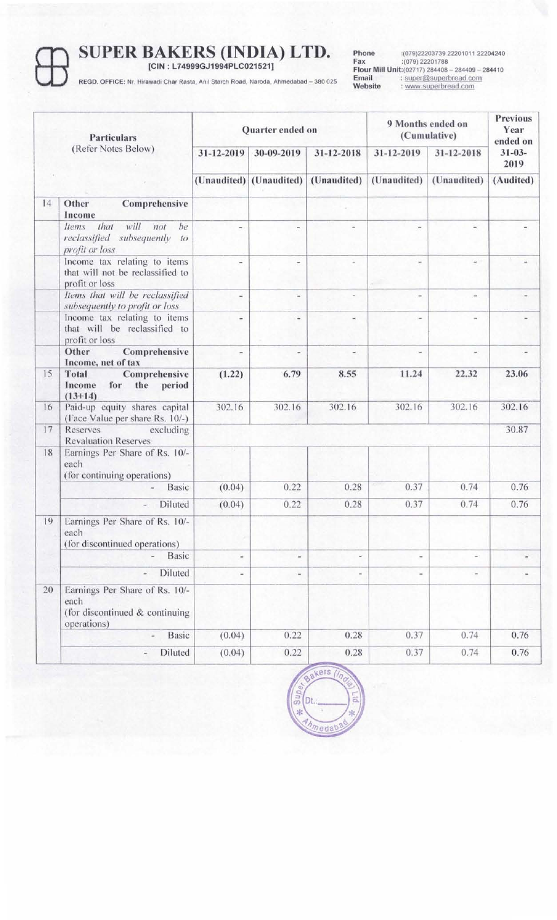# **SUPER BAKERS (INDIA) LTD.**<br> **FEGD. OFFICE:** Nr. Hirawadi Char Rasta, Anil Starch Road, Naroda, Ahmedabad – 380 02

**[CIN : L74999GJ1994PLC021521]** 

**Phone** :(079)22203739 22201011 22204240<br> **Fax** :(079) 22201788<br> **Flour Mill Unit:**(02717) 284408 - 284409 - 284410<br> **Email** : super@superbread.com<br> **Website** : www.superbread.com

REGD. OFFICE: Nr. Hirawadi Char Rasta, Anil Starch Road, Naroda, Ahmedabad - 380 025

| <b>Particulars</b><br>(Refer Notes Below) |                                                                                                | Quarter ended on             |                          |                          | 9 Months ended on<br>(Cumulative) |                          | <b>Previous</b><br>Year<br>ended on |
|-------------------------------------------|------------------------------------------------------------------------------------------------|------------------------------|--------------------------|--------------------------|-----------------------------------|--------------------------|-------------------------------------|
|                                           |                                                                                                | 31-12-2019                   | 30-09-2019               | 31-12-2018               | 31-12-2019                        | 31-12-2018               | $31 - 03 -$<br>2019                 |
|                                           |                                                                                                |                              | (Unaudited) (Unaudited)  | (Unaudited)              | (Unaudited)                       | (Unaudited)              | (Audited)                           |
| 14                                        | Other<br>Comprehensive<br>Income                                                               |                              |                          |                          |                                   |                          |                                     |
|                                           | that<br>will<br>be<br>Items<br>not<br>reclassified subsequently<br>$t\sigma$<br>profit or loss | $\overline{\phantom{a}}$     |                          |                          |                                   | $\omega$                 |                                     |
|                                           | Income tax relating to items<br>that will not be reclassified to<br>profit or loss             | ÷                            | $\overline{\phantom{a}}$ |                          |                                   | $\omega$                 |                                     |
|                                           | Items that will be reclassified<br>subsequently to profit or loss                              | $\overline{\phantom{a}}$     | ×                        |                          |                                   | ×.                       |                                     |
|                                           | Income tax relating to items<br>that will be reclassified to<br>profit or loss                 | ٠                            | ù,                       |                          |                                   |                          |                                     |
|                                           | Other<br>Comprehensive<br>Income, net of tax                                                   | $\overline{\phantom{a}}$     | ÷                        | $\overline{\phantom{a}}$ |                                   | ×.                       |                                     |
| 15                                        | Comprehensive<br>Total<br>period<br>Income<br>for<br>the<br>$(13+14)$                          | (1.22)                       | 6.79                     | 8.55                     | 11.24                             | 22.32                    | 23.06                               |
| 16                                        | Paid-up equity shares capital<br>(Face Value per share Rs. 10/-)                               | 302.16                       | 302.16                   | 302.16                   | 302.16                            | 302.16                   | 302.16                              |
| 17                                        | Reserves<br>excluding<br><b>Revaluation Reserves</b>                                           |                              |                          |                          |                                   |                          | 30.87                               |
| 18                                        | Earnings Per Share of Rs. 10/-<br>each<br>(for continuing operations)                          |                              |                          |                          |                                   |                          |                                     |
|                                           | <b>Basic</b>                                                                                   | (0.04)                       | 0.22                     | 0.28                     | 0.37                              | 0.74                     | 0.76                                |
|                                           | Diluted                                                                                        | (0.04)                       | 0.22                     | 0.28                     | 0.37                              | 0.74                     | 0.76                                |
| 19                                        | Earnings Per Share of Rs. 10/-<br>each<br>(for discontinued operations)                        |                              |                          |                          |                                   |                          |                                     |
|                                           | <b>Basic</b>                                                                                   | $\frac{1}{2}$                | $\frac{1}{2}$            | $\sim$                   |                                   | ÷                        |                                     |
|                                           | Diluted                                                                                        | $\qquad \qquad \blacksquare$ | $\blacksquare$           | $\sim$                   |                                   | $\overline{\phantom{a}}$ |                                     |
| 20                                        | Earnings Per Share of Rs. 10/-<br>each<br>(for discontinued & continuing<br>operations)        |                              |                          |                          |                                   |                          |                                     |
|                                           | <b>Basic</b>                                                                                   | (0.04)                       | 0.22                     | 0.28                     | 0.37                              | 0.74                     | 0.76                                |
|                                           | Diluted<br>$\frac{1}{2}$                                                                       | (0.04)                       | 0.22                     | 0.28                     | 0.37                              | 0.74                     | 0.76                                |

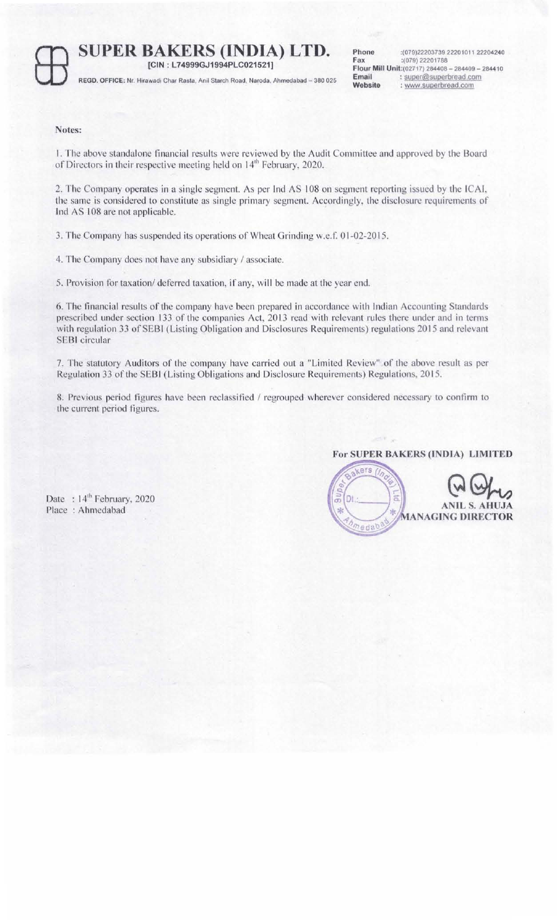**SUPER BAKERS (INDIA) LTD.** Phone :(079) 22201788 [CIN : L749999GJ1994PLC021521]<br>
REGD. OFFICE: Nr. Hirawadi Char Rasta, Anil Starch Road, Naroda, Ahmedabad - 380 025 **Email**<br>
Website : www.superbro [CIN : L74999GJ1994PLC021521]

Phone :(079)22203739 22201011 22204240<br>Fax :(079) 22201788 Flour Mill Unit:(02717) 284408 - 284409 - 284410 Email: super@superbread.com Website : www.superbread.com

#### Notes:

I, The above standalone financial results were reviewed by the Audit Committee and approved by the Board of Directors in their respective meeting held on 14<sup>th</sup> February, 2020.

2, The Company operates in a single segment. As per Ind AS 108 on segment reporting issued by the ICAI, the same is considered to constitute as single primary segment. Accordingly, the disclosure requirements of Ind AS 108 are not applicable.

3. The Company has suspended its operations of Wheat Grinding w.e.f. 01-02-20 15.

4. The Company does not have any subsidiary / associate.

5. Provision for taxation/ deferred taxation, if any, will be made at the year end.

6. The financial results of the company have been prepared in accordance with Indian Accounting Standards prescribed under section 133 of the companies Act, 2013 read with relevant rules there under and in terms with regulation 33 of SEBI (Listing Obligation and Disclosures Requirements) regulations 2015 and relevant SEBI circular

7. The statutory Auditors of the company have carried out a "Limited Review" of the above result as per Regulation 33 of the SEBI (Listing Obligations and Disclosure Requirements) Regulations, 2015.

8. Previous period figures have been reclassified / regrouped wherever considered necessary to confirm to the current period figures.

#### For SUPER BAKERS (INDIA) LIMITED



Date: 14<sup>th</sup> February, 2020 Place : Ahmedabad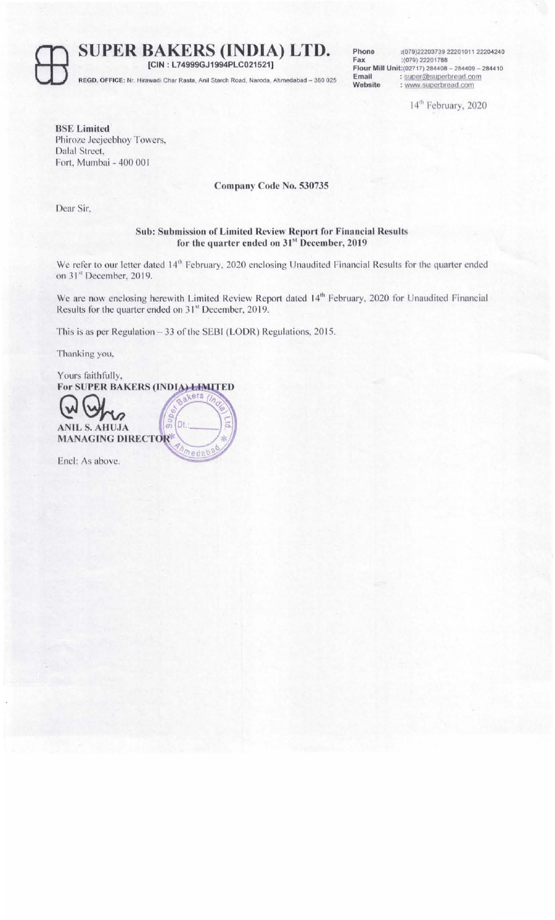ffi **SUPER BAKERS (INDIA) LTD. [CIN : L74999GJ1994PLC021521]** 

REGD, OFFICE: Nr. Hirawadi Char Rasta, Anil Starch Road, Naroda, Ahmedabad - 380 025

**Phone** :(079)22203739 22201011 22204240 **Fax :(079)** 22201788 **Flour Mill** Unit:(02717} 284408 - 284409 - 2844 10 **Email** : super@superbread.com **Website** : www.superbread.com

14<sup>th</sup> February, 2020

**BSE Limited**  Phiroze Jeejeebhoy Towers, Dalal Street, Fort, Mumbai - 400 00 I

**Company Code No. 530735** 

Dear Sir.

### **Sub: Submission of Limited Review Report for Financial Results for the quarter ended on 31st December, 201 9**

We refer to our letter dated 14<sup>th</sup> February, 2020 enclosing Unaudited Financial Results for the quarter ended on 31st December, 2019.

We are now enclosing herewith Limited Review Report dated 14<sup>th</sup> February, 2020 for Unaudited Financial Results for the quarter ended on 31<sup>st</sup> December, 2019.

This is as per Regulation - 33 of the SEBI (LODR) Regulations, 2015.

hedab

Thanking you,

Yours faithfully, For SUPER BAKERS (INDIA) LIMITED Dt ä **HUJA** ANIL S. **MANAGING DIRECTOR®** 

Enel: As above.